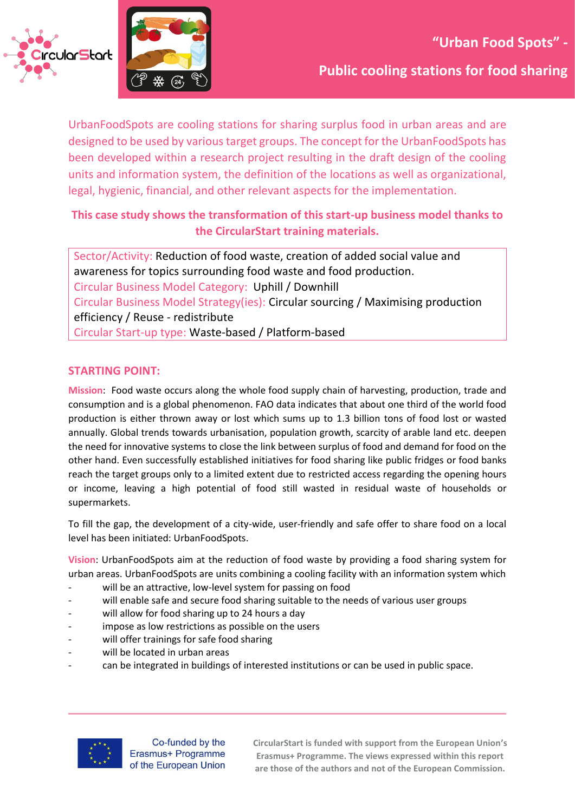



UrbanFoodSpots are cooling stations for sharing surplus food in urban areas and are designed to be used by various target groups. The concept for the UrbanFoodSpots has been developed within a research project resulting in the draft design of the cooling units and information system, the definition of the locations as well as organizational, legal, hygienic, financial, and other relevant aspects for the implementation.

## **This case study shows the transformation of this start-up business model thanks to the CircularStart training materials.**

Sector/Activity: Reduction of food waste, creation of added social value and awareness for topics surrounding food waste and food production. Circular Business Model Category: Uphill / Downhill Circular Business Model Strategy(ies): Circular sourcing / Maximising production efficiency / Reuse - redistribute Circular Start-up type: Waste-based / Platform-based

### **STARTING POINT:**

**Mission**: Food waste occurs along the whole food supply chain of harvesting, production, trade and consumption and is a global phenomenon. FAO data indicates that about one third of the world food production is either thrown away or lost which sums up to 1.3 billion tons of food lost or wasted annually. Global trends towards urbanisation, population growth, scarcity of arable land etc. deepen the need for innovative systems to close the link between surplus of food and demand for food on the other hand. Even successfully established initiatives for food sharing like public fridges or food banks reach the target groups only to a limited extent due to restricted access regarding the opening hours or income, leaving a high potential of food still wasted in residual waste of households or supermarkets.

To fill the gap, the development of a city-wide, user-friendly and safe offer to share food on a local level has been initiated: UrbanFoodSpots.

**Vision**: UrbanFoodSpots aim at the reduction of food waste by providing a food sharing system for urban areas. UrbanFoodSpots are units combining a cooling facility with an information system which

- will be an attractive, low-level system for passing on food
- will enable safe and secure food sharing suitable to the needs of various user groups
- will allow for food sharing up to 24 hours a day
- impose as low restrictions as possible on the users
- will offer trainings for safe food sharing
- will be located in urban areas
- can be integrated in buildings of interested institutions or can be used in public space.



Co-funded by the Erasmus+ Programme of the European Union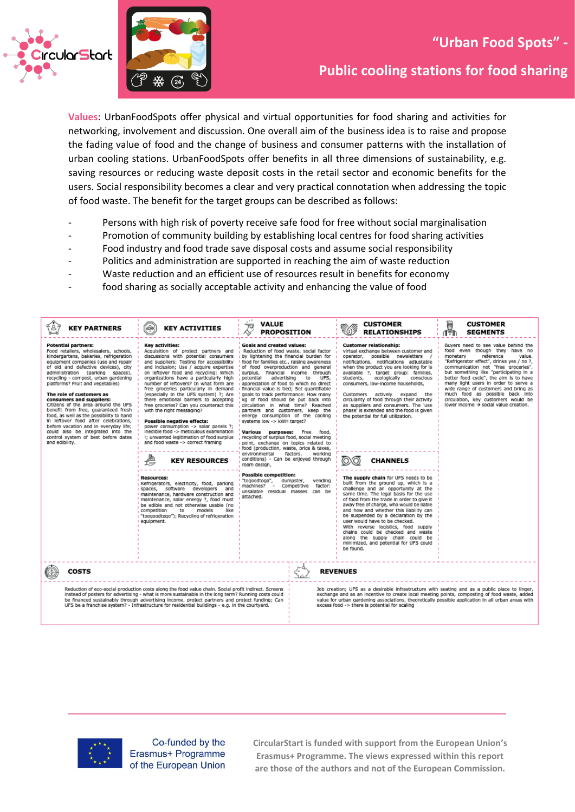



**Public cooling stations for food sharing**

**Values**: UrbanFoodSpots offer physical and virtual opportunities for food sharing and activities for networking, involvement and discussion. One overall aim of the business idea is to raise and propose the fading value of food and the change of business and consumer patterns with the installation of urban cooling stations. UrbanFoodSpots offer benefits in all three dimensions of sustainability, e.g. saving resources or reducing waste deposit costs in the retail sector and economic benefits for the users. Social responsibility becomes a clear and very practical connotation when addressing the topic of food waste. The benefit for the target groups can be described as follows:

- Persons with high risk of poverty receive safe food for free without social marginalisation
- Promotion of community building by establishing local centres for food sharing activities
- Food industry and food trade save disposal costs and assume social responsibility
- Politics and administration are supported in reaching the aim of waste reduction
- Waste reduction and an efficient use of resources result in benefits for economy
- food sharing as socially acceptable activity and enhancing the value of food

| <b>KEY PARTNERS</b>                                                                                                                                                                                                                                                                                                                                                                                                                                                                                                                                                                                                                                                          | <b>HORK</b><br><b>KEY ACTIVITIES</b>                                                                                                                                                                                                                                                                                                                                                                                                                                                                                                                                                                                                                                                                                  | $\cdot$<br><b>VALUE</b><br>টা<br><b>PROPOSITION</b><br>∝                                                                                                                                                                                                                                                                                                                                                                                                                                                                                                                                                                                                                                                                                                                                                                 |                 | <b>CUSTOMER</b><br>8(1)<br><b>RELATIONSHIPS</b>                                                                                                                                                                                                                                                                                                                                                                                                                                                                                                   | e<br>Tři<br><b>CUSTOMER</b><br><b>SEGMENTS</b>                                                                                                                                                                                                                                                                                                                                                                                                                                     |  |
|------------------------------------------------------------------------------------------------------------------------------------------------------------------------------------------------------------------------------------------------------------------------------------------------------------------------------------------------------------------------------------------------------------------------------------------------------------------------------------------------------------------------------------------------------------------------------------------------------------------------------------------------------------------------------|-----------------------------------------------------------------------------------------------------------------------------------------------------------------------------------------------------------------------------------------------------------------------------------------------------------------------------------------------------------------------------------------------------------------------------------------------------------------------------------------------------------------------------------------------------------------------------------------------------------------------------------------------------------------------------------------------------------------------|--------------------------------------------------------------------------------------------------------------------------------------------------------------------------------------------------------------------------------------------------------------------------------------------------------------------------------------------------------------------------------------------------------------------------------------------------------------------------------------------------------------------------------------------------------------------------------------------------------------------------------------------------------------------------------------------------------------------------------------------------------------------------------------------------------------------------|-----------------|---------------------------------------------------------------------------------------------------------------------------------------------------------------------------------------------------------------------------------------------------------------------------------------------------------------------------------------------------------------------------------------------------------------------------------------------------------------------------------------------------------------------------------------------------|------------------------------------------------------------------------------------------------------------------------------------------------------------------------------------------------------------------------------------------------------------------------------------------------------------------------------------------------------------------------------------------------------------------------------------------------------------------------------------|--|
| <b>Potential partners:</b><br>Food retailers, wholesalers, schools,<br>kindergartens, bakeries, refrigeration<br>equipment companies (use and repair<br>of old and defective devices), city<br>administration (parking spaces),<br>recycling - compost, urban gardening<br>platforms? Fruit and vegetables)<br>The role of customers as<br>consumers and suppliers:<br>Citizens of the area around the UFS<br>benefit from free, guaranteed fresh<br>food, as well as the possibility to hand<br>in leftover food after celebrations,<br>before vacation and in everyday life;<br>could also be integrated into the<br>control system of best before dates<br>and edibility. | Key activities:<br>Acquisition of project partners and<br>discussions with potential consumers<br>and suppliers; Testing for accessibility<br>and inclusion; Use / acquire expertise<br>on leftover food and recycling: Which<br>organizations have a particularly high<br>number of leftovers? In what form are<br>free groceries particularly in demand<br>(especially in the UFS system) ?; Are<br>there emotional barriers to accepting<br>free groceries? Can you counteract this<br>with the right messaging?<br>Possible negative effects:<br>power consumption -> solar panels ?;<br>inedible food -> meticulous examination<br>!; unwanted legitimation of food surplus<br>and food waste -> correct framing | <b>Goals and created values:</b><br>Reduction of food waste, social factor<br>by lightening the financial burden for<br>food for families etc., raising awareness<br>of food overproduction and general<br>surplus, financial income through<br>advertising<br>to<br>potential<br>UFS,<br>appreciation of food to which no direct<br>I financial value is tied; Set quantifiable<br>goals to track performance: How many<br>kg of food should be put back into<br>circulation in what time? Reached<br>partners and customers, keep the<br>energy consumption of the cooling<br>systems low -> kWH target?<br>Various purposes:<br>Free<br>food.<br>recycling of surplus food, social meeting<br>point, exchange on topics related to<br>food (production, waste, price & taxes,<br>environmental<br>factors.<br>working |                 | <b>Customer relationship:</b><br>virtual exchange between customer and<br>operator, possible newsletters<br>notifications, notifications adjustable<br>when the product you are looking for is<br>available ?, target group; families,<br>ecologically<br>conscious<br>students,<br>consumers, low-income households,<br>Customers actively<br>expand the<br>circularity of food through their activity<br>as suppliers and consumers. The 'use<br>phase' is extended and the food is given<br>the potential for full utilization.                | Buyers need to see value behind the<br>food even though they have no<br>reference<br>monetary<br>value.<br>"Refrigerator effect", drinks yes / no ?,<br>communication not "free groceries",<br>but something like "participating in a<br>better food cycle", the aim is to have<br>many light users in order to serve a<br>wide range of customers and bring as<br>much food as possible back into<br>circulation, key customers would be<br>lower income → social value creation. |  |
|                                                                                                                                                                                                                                                                                                                                                                                                                                                                                                                                                                                                                                                                              | 畾<br><b>KEY RESOURCES</b><br>তে                                                                                                                                                                                                                                                                                                                                                                                                                                                                                                                                                                                                                                                                                       | conditions) - Can be enjoyed through<br>room design,                                                                                                                                                                                                                                                                                                                                                                                                                                                                                                                                                                                                                                                                                                                                                                     |                 | <b>CHANNELS</b>                                                                                                                                                                                                                                                                                                                                                                                                                                                                                                                                   |                                                                                                                                                                                                                                                                                                                                                                                                                                                                                    |  |
|                                                                                                                                                                                                                                                                                                                                                                                                                                                                                                                                                                                                                                                                              | <b>Resources:</b><br>Refrigerators, electricity, food, parking<br>software developers<br>spaces,<br>and<br>maintenance, hardware construction and<br>maintenance, solar energy ?, food must<br>be edible and not otherwise usable (no<br>competition<br>to<br>models<br>like<br>"toogoodtogo"); Recycling of refrigeration<br>equipment.                                                                                                                                                                                                                                                                                                                                                                              | <b>Possible competition:</b><br>"togoodtogo",<br>vending<br>dumpster,<br>machines?<br>factor:<br>Competitive<br>unsalable residual masses<br>can be<br>attached.                                                                                                                                                                                                                                                                                                                                                                                                                                                                                                                                                                                                                                                         |                 | The supply chain for UFS needs to be<br>built from the ground up, which is a<br>challenge and an opportunity at the<br>same time. The legal basis for the use<br>of food from the trade in order to give it<br>away free of charge, who would be liable<br>and how and whether this liability can<br>be suspended by a declaration by the<br>user would have to be checked.<br>With reverse logistics, food supply<br>chains could be checked and waste<br>along the supply chain could be<br>minimized, and potential for UFS could<br>be found. |                                                                                                                                                                                                                                                                                                                                                                                                                                                                                    |  |
| <b>COSTS</b>                                                                                                                                                                                                                                                                                                                                                                                                                                                                                                                                                                                                                                                                 |                                                                                                                                                                                                                                                                                                                                                                                                                                                                                                                                                                                                                                                                                                                       |                                                                                                                                                                                                                                                                                                                                                                                                                                                                                                                                                                                                                                                                                                                                                                                                                          | <b>REVENUES</b> |                                                                                                                                                                                                                                                                                                                                                                                                                                                                                                                                                   |                                                                                                                                                                                                                                                                                                                                                                                                                                                                                    |  |
| Reduction of eco-social production costs along the food value chain. Social profit indirect. Screens<br>instead of posters for advertising - what is more sustainable in the long term? Running costs could<br>be financed sustainably through advertising income, project partners and project funding; Can<br>UFS be a franchise system? - Infrastructure for residential buildings - e.g. in the courtyard.                                                                                                                                                                                                                                                               |                                                                                                                                                                                                                                                                                                                                                                                                                                                                                                                                                                                                                                                                                                                       | Job creation; UFS as a desirable infrastructure with seating and as a public place to linger,<br>exchange and as an incentive to create local meeting points, composting of food waste, added<br>value for urban gardening associations, theoretically possible application in all urban areas with<br>excess food -> there is potential for scaling                                                                                                                                                                                                                                                                                                                                                                                                                                                                     |                 |                                                                                                                                                                                                                                                                                                                                                                                                                                                                                                                                                   |                                                                                                                                                                                                                                                                                                                                                                                                                                                                                    |  |



Co-funded by the Erasmus+ Programme of the European Union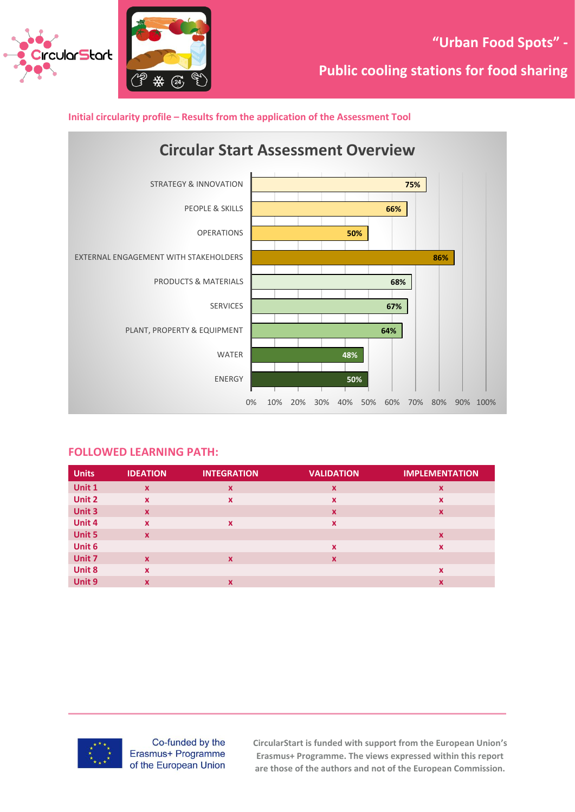





#### **FOLLOWED LEARNING PATH:**

| <b>Units</b> | <b>IDEATION</b>           | <b>INTEGRATION</b>        | <b>VALIDATION</b>         | <b>IMPLEMENTATION</b> |
|--------------|---------------------------|---------------------------|---------------------------|-----------------------|
| Unit 1       | $\mathbf{x}$              | $\boldsymbol{\mathsf{x}}$ | $\boldsymbol{\mathsf{x}}$ | $\mathbf x$           |
| Unit 2       | $\boldsymbol{\mathsf{x}}$ | X                         | X                         | X                     |
| Unit 3       | $\mathbf{x}$              |                           | $\boldsymbol{\mathsf{x}}$ | $\mathbf x$           |
| Unit 4       | $\mathbf x$               | X                         | X                         |                       |
| Unit 5       | $\mathbf{x}$              |                           |                           | $\mathbf x$           |
| Unit 6       |                           |                           | X                         | $\mathbf x$           |
| Unit 7       | $\mathbf{x}$              | $\boldsymbol{\mathsf{x}}$ | X                         |                       |
| Unit 8       | $\mathbf x$               |                           |                           | x                     |
| Unit 9       | X                         | X                         |                           | x                     |



Co-funded by the Erasmus+ Programme of the European Union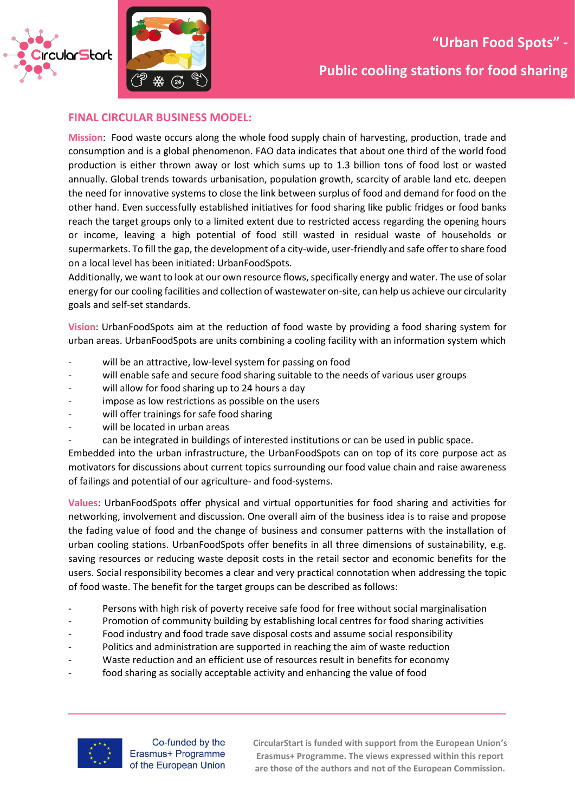



**Public cooling stations for food sharing**

#### **FINAL CIRCULAR BUSINESS MODEL:**

**Mission**: Food waste occurs along the whole food supply chain of harvesting, production, trade and consumption and is a global phenomenon. FAO data indicates that about one third of the world food production is either thrown away or lost which sums up to 1.3 billion tons of food lost or wasted annually. Global trends towards urbanisation, population growth, scarcity of arable land etc. deepen the need for innovative systems to close the link between surplus of food and demand for food on the other hand. Even successfully established initiatives for food sharing like public fridges or food banks reach the target groups only to a limited extent due to restricted access regarding the opening hours or income, leaving a high potential of food still wasted in residual waste of households or supermarkets. To fill the gap, the development of a city-wide, user-friendly and safe offer to share food on a local level has been initiated: UrbanFoodSpots.

Additionally, we want to look at our own resource flows, specifically energy and water. The use of solar energy for our cooling facilities and collection of wastewater on-site, can help us achieve our circularity goals and self-set standards.

**Vision**: UrbanFoodSpots aim at the reduction of food waste by providing a food sharing system for urban areas. UrbanFoodSpots are units combining a cooling facility with an information system which

- will be an attractive, low-level system for passing on food
- will enable safe and secure food sharing suitable to the needs of various user groups
- will allow for food sharing up to 24 hours a day
- impose as low restrictions as possible on the users
- will offer trainings for safe food sharing
- will be located in urban areas
	- can be integrated in buildings of interested institutions or can be used in public space.

Embedded into the urban infrastructure, the UrbanFoodSpots can on top of its core purpose act as motivators for discussions about current topics surrounding our food value chain and raise awareness of failings and potential of our agriculture- and food-systems.

**Values**: UrbanFoodSpots offer physical and virtual opportunities for food sharing and activities for networking, involvement and discussion. One overall aim of the business idea is to raise and propose the fading value of food and the change of business and consumer patterns with the installation of urban cooling stations. UrbanFoodSpots offer benefits in all three dimensions of sustainability, e.g. saving resources or reducing waste deposit costs in the retail sector and economic benefits for the users. Social responsibility becomes a clear and very practical connotation when addressing the topic of food waste. The benefit for the target groups can be described as follows:

- Persons with high risk of poverty receive safe food for free without social marginalisation
- Promotion of community building by establishing local centres for food sharing activities
- Food industry and food trade save disposal costs and assume social responsibility
- Politics and administration are supported in reaching the aim of waste reduction
- Waste reduction and an efficient use of resources result in benefits for economy
- food sharing as socially acceptable activity and enhancing the value of food



Co-funded by the Erasmus+ Programme of the European Union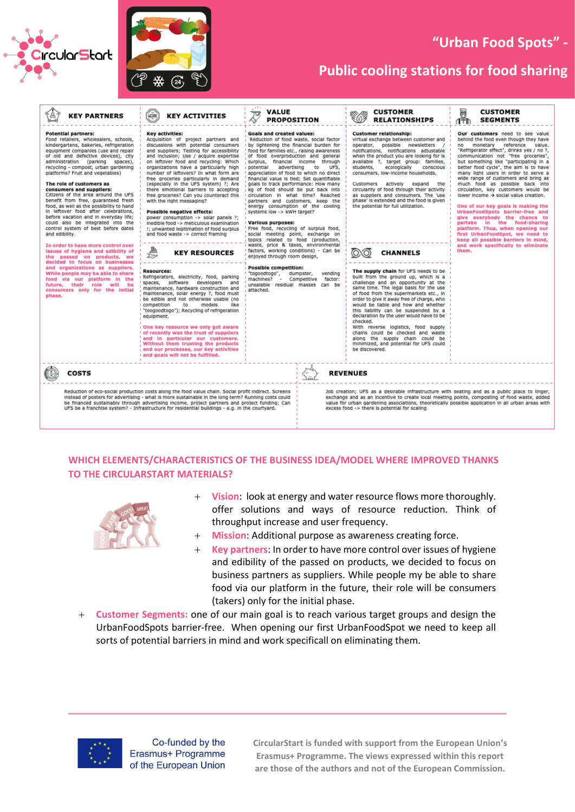



# **"Urban Food Spots" -**

## **Public cooling stations for food sharing**

| <b>KEY PARTNERS</b>                                                                                                                                                                                                                                                                                                                                                                                                                                                                                                                                                                                                                                                                                                                                                                                                                                                                                                                                                                                                 | <b>MORK</b><br><b>KEY ACTIVITIES</b>                                                                                                                                                                                                                                                                                                                                                                                                                                                                                                                                                                                                                                                                                                                                                                                                                                                                                                                                                                                                                                                                                                                                                                                                                                                                                                          | VALUE<br>᠊ᠡᠣ<br><b>PROPOSITION</b>                                                                                                                                                                                                                                                                                                                                                                                                                                                                                                                                                                                                                                                                                                                                                                                                                                                                                                                                                                                                                         | <b>CUSTOMER</b><br><b>RELATIONSHIPS</b>                                                                                                                                                                                                                                                                                                                                                                                                                                                                                                                                                                                                                                                                                                                                                                                                                                                                                                                                                                                                                                                                                            | r<br>Im<br><b>CUSTOMER</b><br><b>SEGMENTS</b>                                                                                                                                                                                                                                                                                                                                                                                                                                                                                                                                                                                                                                                                                                                                                  |
|---------------------------------------------------------------------------------------------------------------------------------------------------------------------------------------------------------------------------------------------------------------------------------------------------------------------------------------------------------------------------------------------------------------------------------------------------------------------------------------------------------------------------------------------------------------------------------------------------------------------------------------------------------------------------------------------------------------------------------------------------------------------------------------------------------------------------------------------------------------------------------------------------------------------------------------------------------------------------------------------------------------------|-----------------------------------------------------------------------------------------------------------------------------------------------------------------------------------------------------------------------------------------------------------------------------------------------------------------------------------------------------------------------------------------------------------------------------------------------------------------------------------------------------------------------------------------------------------------------------------------------------------------------------------------------------------------------------------------------------------------------------------------------------------------------------------------------------------------------------------------------------------------------------------------------------------------------------------------------------------------------------------------------------------------------------------------------------------------------------------------------------------------------------------------------------------------------------------------------------------------------------------------------------------------------------------------------------------------------------------------------|------------------------------------------------------------------------------------------------------------------------------------------------------------------------------------------------------------------------------------------------------------------------------------------------------------------------------------------------------------------------------------------------------------------------------------------------------------------------------------------------------------------------------------------------------------------------------------------------------------------------------------------------------------------------------------------------------------------------------------------------------------------------------------------------------------------------------------------------------------------------------------------------------------------------------------------------------------------------------------------------------------------------------------------------------------|------------------------------------------------------------------------------------------------------------------------------------------------------------------------------------------------------------------------------------------------------------------------------------------------------------------------------------------------------------------------------------------------------------------------------------------------------------------------------------------------------------------------------------------------------------------------------------------------------------------------------------------------------------------------------------------------------------------------------------------------------------------------------------------------------------------------------------------------------------------------------------------------------------------------------------------------------------------------------------------------------------------------------------------------------------------------------------------------------------------------------------|------------------------------------------------------------------------------------------------------------------------------------------------------------------------------------------------------------------------------------------------------------------------------------------------------------------------------------------------------------------------------------------------------------------------------------------------------------------------------------------------------------------------------------------------------------------------------------------------------------------------------------------------------------------------------------------------------------------------------------------------------------------------------------------------|
| <b>Potential partners:</b><br>Food retailers, wholesalers, schools,<br>kindergartens, bakeries, refrigeration<br>equipment companies (use and repair<br>of old and defective devices), city<br>administration (parking spaces),<br>recycling - compost, urban gardening<br>platforms? Fruit and vegetables)<br>The role of customers as<br>consumers and suppliers:<br>Citizens of the area around the UFS<br>benefit from free, quaranteed fresh<br>food, as well as the possibility to hand<br>in leftover food after celebrations,<br>before vacation and in everyday life;<br>could also be integrated into the<br>control system of best before dates<br>and edibility.<br>In order to have more control over<br>issues of hygiene and edibility of<br>the passed on products, we<br>decided to focus on businesses<br>and organizations as suppliers.<br>While people may be able to share<br>food via our platform in the<br>future, their<br>role<br>will<br>be<br>consumers only for the initial<br>phase. | Key activities:<br>Acquisition of project partners and<br>discussions with potential consumers<br>and suppliers; Testing for accessibility<br>and inclusion; Use / acquire expertise<br>on leftover food and recycling: Which<br>organizations have a particularly high<br>number of leftovers? In what form are<br>free groceries particularly in demand<br>(especially in the UFS system) ?; Are<br>there emotional barriers to accepting<br>free groceries? Can you counteract this<br>with the right messaging?<br>Possible negative effects:<br>power consumption -> solar panels ?;<br>inedible food -> meticulous examination<br>!; unwanted legitimation of food surplus<br>and food waste -> correct framing<br>趣<br><b>KEY RESOURCES</b><br>œ<br><b>Resources:</b><br>Refrigerators, electricity, food, parking<br>software<br>developers<br>spaces,<br>and<br>maintenance, hardware construction and<br>maintenance, solar energy ?, food must<br>be edible and not otherwise usable (no<br>like<br>models<br>competition<br>to<br>"toogoodtogo"); Recycling of refrigeration<br>equipment.<br>One key resource we only got aware<br>of recently was the trust of suppliers<br>and in particular our customers.<br>Without them trusting the products<br>and our processes, our key activities<br>and goals will not be fulfilled. | <b>Goals and created values:</b><br>Reduction of food waste, social factor<br>by lightening the financial burden for<br>food for families etc., raising awareness<br>of food overproduction and general<br>surplus, financial income<br>through<br>potential<br>UFS,<br>advertising<br>to<br>appreciation of food to which no direct<br>financial value is tied; Set quantifiable<br>goals to track performance: How many<br>kg of food should be put back into<br>circulation in what time? Reached<br>partners and customers, keep the<br>energy consumption of the cooling<br>systems low -> kWH target?<br><b>Various purposes:</b><br>Free food, recycling of surplus food,<br>social meeting point, exchange on<br>topics related to food (production,<br>waste, price & taxes, environmental<br>factors, working conditions) - Can be<br>enjoyed through room design,<br><b>Possible competition:</b><br>"togoodtogo",<br>dumpster,<br>vending<br>machines?<br>Competitive<br>factor:<br>$\sim$<br>unsalable residual masses<br>can be<br>attached. | <b>Customer relationship:</b><br>virtual exchange between customer and<br>operator, possible newsletters<br>notifications, notifications adjustable<br>when the product you are looking for is<br>available ?, target group: families,<br>ecologically<br>conscious<br>students,<br>consumers, low-income households,<br>Customers actively<br>expand<br>the<br>circularity of food through their activity<br>as suppliers and consumers. The 'use<br>phase' is extended and the food is given<br>the potential for full utilization.<br><b>CHANNELS</b><br>The supply chain for UFS needs to be<br>built from the ground up, which is a<br>challenge and an opportunity at the<br>same time. The legal basis for the use<br>of food from the supermarkets etc., in<br>order to give it away free of charge, who<br>would be liable and how and whether<br>this liability can be suspended by a<br>declaration by the user would have to be<br>checked.<br>With reverse logistics, food supply<br>chains could be checked and waste<br>along the supply chain could be<br>minimized, and potential for UFS could<br>be discovered. | Our customers need to see value<br>behind the food even though they have<br>monetary<br>reference value.<br>no<br>"Refrigerator effect", drinks yes / no ?,<br>communication not "free groceries",<br>but something like "participating in a<br>better food cycle", the aim is to have<br>many light users in order to serve a<br>wide range of customers and bring as<br>much food as possible back into<br>circulation, key customers would be<br>lower income → social value creation.<br>One of our key goals is making the<br>UrbanFoodSpots barrier-free and<br>give everybody the chance to<br>partake in the food-sharing<br>platform. Thus, when opening our<br>first UrbanFoodSpot, we need to<br>keep all possible barriers in mind,<br>and work specifically to eliminate<br>them. |
| <b>COSTS</b>                                                                                                                                                                                                                                                                                                                                                                                                                                                                                                                                                                                                                                                                                                                                                                                                                                                                                                                                                                                                        |                                                                                                                                                                                                                                                                                                                                                                                                                                                                                                                                                                                                                                                                                                                                                                                                                                                                                                                                                                                                                                                                                                                                                                                                                                                                                                                                               |                                                                                                                                                                                                                                                                                                                                                                                                                                                                                                                                                                                                                                                                                                                                                                                                                                                                                                                                                                                                                                                            | <b>REVENUES</b>                                                                                                                                                                                                                                                                                                                                                                                                                                                                                                                                                                                                                                                                                                                                                                                                                                                                                                                                                                                                                                                                                                                    |                                                                                                                                                                                                                                                                                                                                                                                                                                                                                                                                                                                                                                                                                                                                                                                                |
|                                                                                                                                                                                                                                                                                                                                                                                                                                                                                                                                                                                                                                                                                                                                                                                                                                                                                                                                                                                                                     | Reduction of eco-social production costs along the food value chain. Social profit indirect. Screens<br>instead of posters for advertising - what is more sustainable in the long term? Running costs could<br>be financed sustainably through advertising income, project partners and project funding; Can<br>UFS be a franchise system? - Infrastructure for residential buildings - e.g. in the courtyard.                                                                                                                                                                                                                                                                                                                                                                                                                                                                                                                                                                                                                                                                                                                                                                                                                                                                                                                                |                                                                                                                                                                                                                                                                                                                                                                                                                                                                                                                                                                                                                                                                                                                                                                                                                                                                                                                                                                                                                                                            | Job creation; UFS as a desirable infrastructure with seating and as a public place to linger,<br>exchange and as an incentive to create local meeting points, composting of food waste, added<br>value for urban gardening associations, theoretically possible application in all urban areas with<br>excess food -> there is potential for scaling                                                                                                                                                                                                                                                                                                                                                                                                                                                                                                                                                                                                                                                                                                                                                                               |                                                                                                                                                                                                                                                                                                                                                                                                                                                                                                                                                                                                                                                                                                                                                                                                |

#### **WHICH ELEMENTS/CHARACTERISTICS OF THE BUSINESS IDEA/MODEL WHERE IMPROVED THANKS TO THE CIRCULARSTART MATERIALS?**



- + **Vision**: look at energy and water resource flows more thoroughly. offer solutions and ways of resource reduction. Think of throughput increase and user frequency.
- + **Mission**: Additional purpose as awareness creating force.
- + **Key partners**: In order to have more control over issues of hygiene and edibility of the passed on products, we decided to focus on business partners as suppliers. While people my be able to share food via our platform in the future, their role will be consumers (takers) only for the initial phase.
- + **Customer Segments:** one of our main goal is to reach various target groups and design the UrbanFoodSpots barrier-free.When opening our first UrbanFoodSpot we need to keep all sorts of potential barriers in mind and work specificall on eliminating them.



Co-funded by the Erasmus+ Programme of the European Union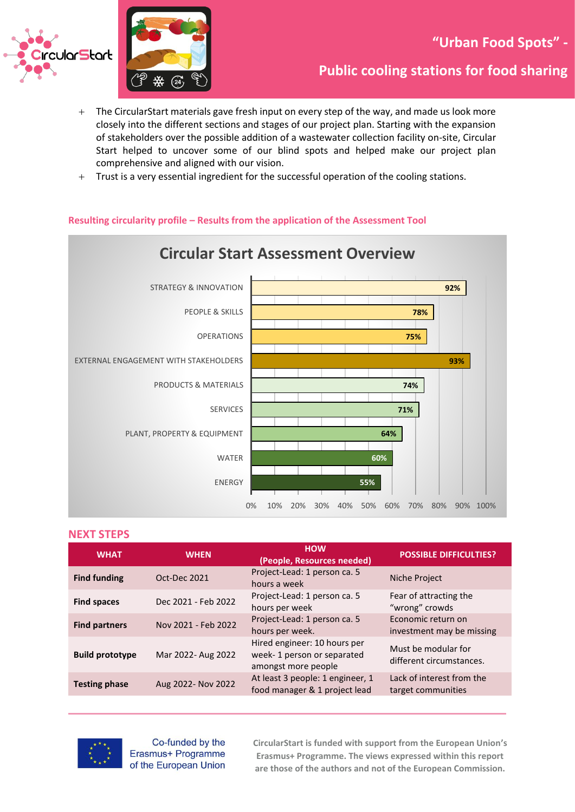

- + The CircularStart materials gave fresh input on every step of the way, and made us look more closely into the different sections and stages of our project plan. Starting with the expansion of stakeholders over the possible addition of a wastewater collection facility on-site, Circular Start helped to uncover some of our blind spots and helped make our project plan comprehensive and aligned with our vision.
- + Trust is a very essential ingredient for the successful operation of the cooling stations.

#### **Resulting circularity profile – Results from the application of the Assessment Tool**



#### **NEXT STEPS**

| <b>WHAT</b>            | <b>WHEN</b>         | <b>HOW</b><br>(People, Resources needed)                                          | <b>POSSIBLE DIFFICULTIES?</b>                   |
|------------------------|---------------------|-----------------------------------------------------------------------------------|-------------------------------------------------|
| <b>Find funding</b>    | Oct-Dec 2021        | Project-Lead: 1 person ca. 5<br>hours a week                                      | Niche Project                                   |
| <b>Find spaces</b>     | Dec 2021 - Feb 2022 | Project-Lead: 1 person ca. 5<br>hours per week                                    | Fear of attracting the<br>"wrong" crowds        |
| <b>Find partners</b>   | Nov 2021 - Feb 2022 | Project-Lead: 1 person ca. 5<br>hours per week.                                   | Economic return on<br>investment may be missing |
| <b>Build prototype</b> | Mar 2022- Aug 2022  | Hired engineer: 10 hours per<br>week-1 person or separated<br>amongst more people | Must be modular for<br>different circumstances. |
| <b>Testing phase</b>   | Aug 2022- Nov 2022  | At least 3 people: 1 engineer, 1<br>food manager & 1 project lead                 | Lack of interest from the<br>target communities |



Co-funded by the Erasmus+ Programme of the European Union